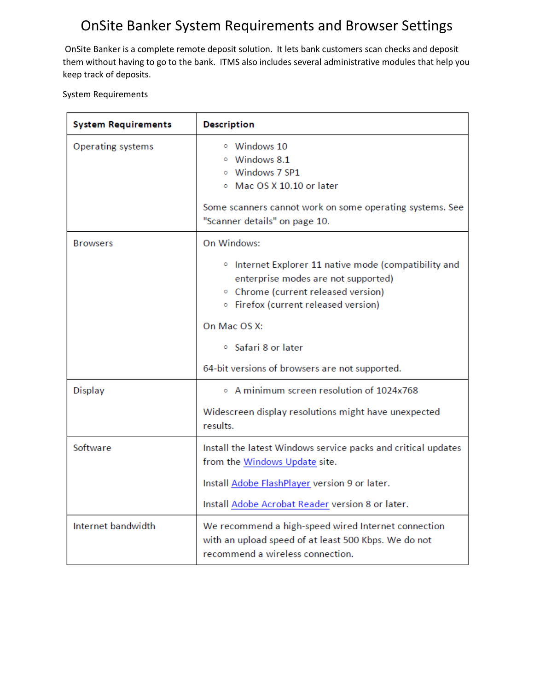# OnSite Banker System Requirements and Browser Settings

OnSite Banker is a complete remote deposit solution. It lets bank customers scan checks and deposit them without having to go to the bank. ITMS also includes several administrative modules that help you keep track of deposits.

System Requirements

| <b>System Requirements</b> | <b>Description</b>                                                                                                                                                                                                                                                 |
|----------------------------|--------------------------------------------------------------------------------------------------------------------------------------------------------------------------------------------------------------------------------------------------------------------|
| Operating systems          | ○ Windows 10<br><sup>o</sup> Windows 8.1<br>$\circ$ Windows 7 SP1<br>Mac OS X 10.10 or later<br>Some scanners cannot work on some operating systems. See<br>"Scanner details" on page 10.                                                                          |
| <b>Browsers</b>            | On Windows:<br><sup>o</sup> Internet Explorer 11 native mode (compatibility and<br>enterprise modes are not supported)<br><sup>o</sup> Chrome (current released version)<br>○ Firefox (current released version)<br>On Mac OS X:<br><sup>o</sup> Safari 8 or later |
|                            | 64-bit versions of browsers are not supported.                                                                                                                                                                                                                     |
| Display                    | $\circ$ A minimum screen resolution of 1024x768<br>Widescreen display resolutions might have unexpected<br>results.                                                                                                                                                |
| Software                   | Install the latest Windows service packs and critical updates<br>from the Windows Update site.<br>Install Adobe FlashPlayer version 9 or later.<br>Install Adobe Acrobat Reader version 8 or later.                                                                |
| Internet bandwidth         | We recommend a high-speed wired Internet connection<br>with an upload speed of at least 500 Kbps. We do not<br>recommend a wireless connection.                                                                                                                    |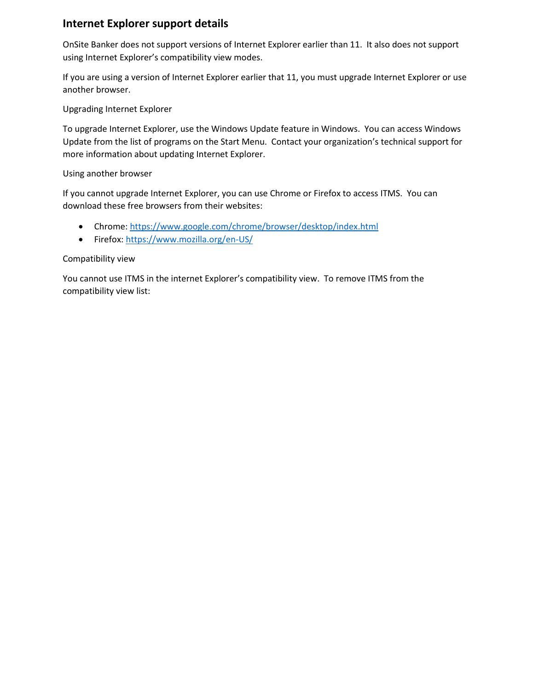# **Internet Explorer support details**

OnSite Banker does not support versions of Internet Explorer earlier than 11. It also does not support using Internet Explorer's compatibility view modes.

If you are using a version of Internet Explorer earlier that 11, you must upgrade Internet Explorer or use another browser.

Upgrading Internet Explorer

To upgrade Internet Explorer, use the Windows Update feature in Windows. You can access Windows Update from the list of programs on the Start Menu. Contact your organization's technical support for more information about updating Internet Explorer.

### Using another browser

If you cannot upgrade Internet Explorer, you can use Chrome or Firefox to access ITMS. You can download these free browsers from their websites:

- Chrome:<https://www.google.com/chrome/browser/desktop/index.html>
- Firefox:<https://www.mozilla.org/en-US/>

### Compatibility view

You cannot use ITMS in the internet Explorer's compatibility view. To remove ITMS from the compatibility view list: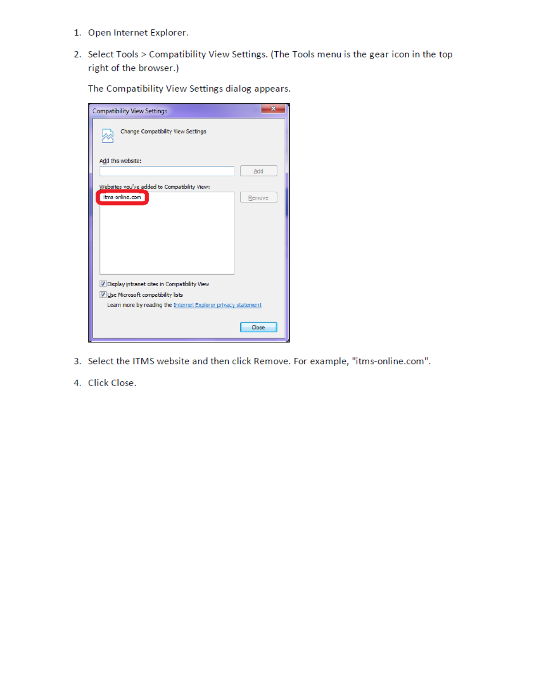- 1. Open Internet Explorer.
- 2. Select Tools > Compatibility View Settings. (The Tools menu is the gear icon in the top right of the browser.)

The Compatibility View Settings dialog appears.

| <b>Compatibility View Settings</b>                            | $\overline{\mathbf{x}}$ |  |
|---------------------------------------------------------------|-------------------------|--|
| Change Compatibility View Settings                            |                         |  |
| Add this website:                                             |                         |  |
|                                                               | Add                     |  |
| Websites you've added to Compatibility View:                  |                         |  |
| itms-online.com                                               | Remove                  |  |
|                                                               |                         |  |
|                                                               |                         |  |
|                                                               |                         |  |
|                                                               |                         |  |
|                                                               |                         |  |
|                                                               |                         |  |
| V Display intranet sites in Compatibility View                |                         |  |
| V Use Microsoft compatibility lists                           |                         |  |
| Learn more by reading the Internet Explorer privacy statement |                         |  |
|                                                               |                         |  |
|                                                               | Close                   |  |
|                                                               |                         |  |

- 3. Select the ITMS website and then click Remove. For example, "itms-online.com".
- 4. Click Close.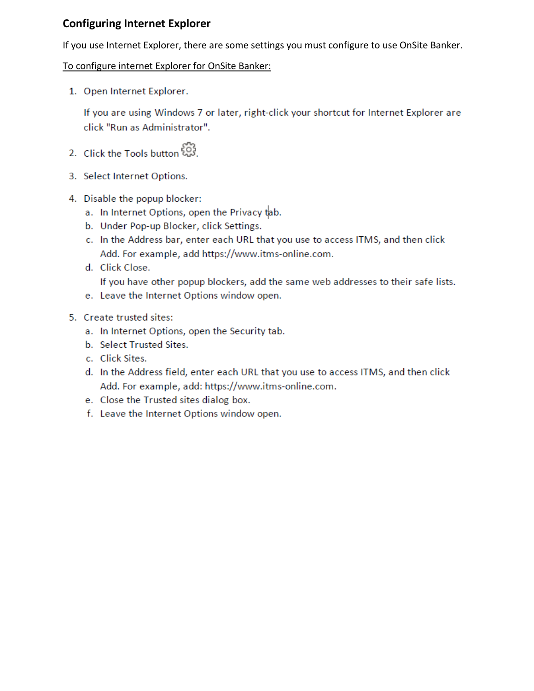# **Configuring Internet Explorer**

If you use Internet Explorer, there are some settings you must configure to use OnSite Banker.

## To configure internet Explorer for OnSite Banker:

1. Open Internet Explorer.

If you are using Windows 7 or later, right-click your shortcut for Internet Explorer are click "Run as Administrator".

- 2. Click the Tools button 23.
- 3. Select Internet Options.
- 4. Disable the popup blocker:
	- a. In Internet Options, open the Privacy tab.
	- b. Under Pop-up Blocker, click Settings.
	- c. In the Address bar, enter each URL that you use to access ITMS, and then click Add. For example, add https://www.itms-online.com.
	- d. Click Close.

If you have other popup blockers, add the same web addresses to their safe lists.

- e. Leave the Internet Options window open.
- 5. Create trusted sites:
	- a. In Internet Options, open the Security tab.
	- b. Select Trusted Sites.
	- c. Click Sites.
	- d. In the Address field, enter each URL that you use to access ITMS, and then click Add. For example, add: https://www.itms-online.com.
	- e. Close the Trusted sites dialog box.
	- f. Leave the Internet Options window open.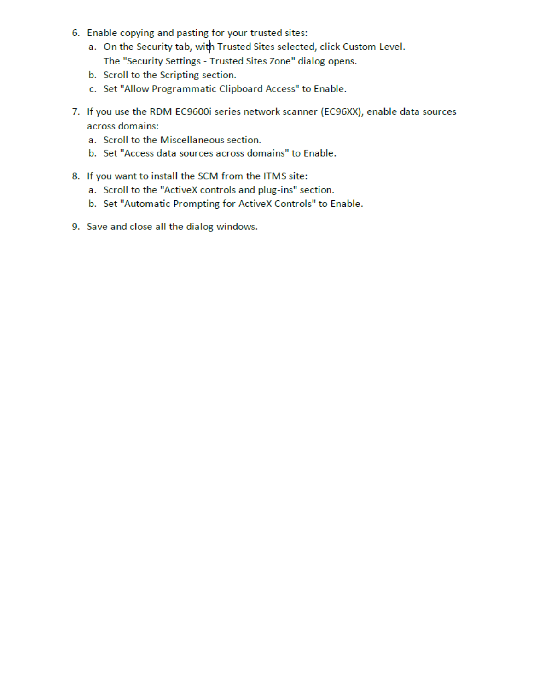- 6. Enable copying and pasting for your trusted sites:
	- a. On the Security tab, with Trusted Sites selected, click Custom Level. The "Security Settings - Trusted Sites Zone" dialog opens.
	- b. Scroll to the Scripting section.
	- c. Set "Allow Programmatic Clipboard Access" to Enable.
- 7. If you use the RDM EC9600i series network scanner (EC96XX), enable data sources across domains:
	- a. Scroll to the Miscellaneous section.
	- b. Set "Access data sources across domains" to Enable.
- 8. If you want to install the SCM from the ITMS site:
	- a. Scroll to the "ActiveX controls and plug-ins" section.
	- b. Set "Automatic Prompting for ActiveX Controls" to Enable.
- 9. Save and close all the dialog windows.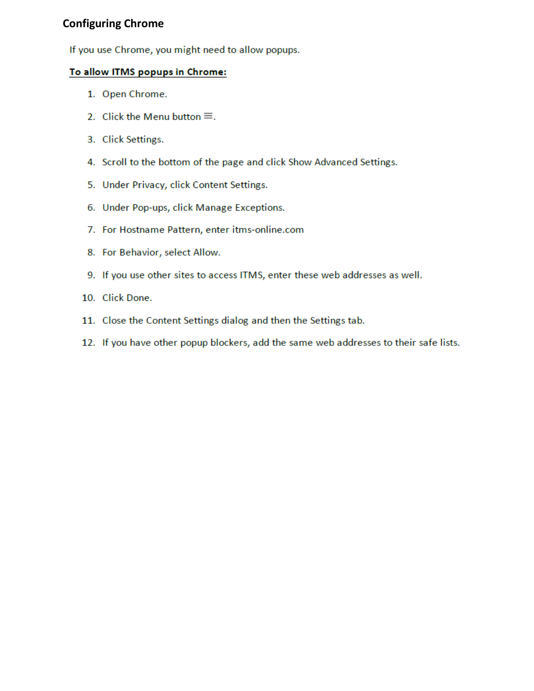## **Configuring Chrome**

If you use Chrome, you might need to allow popups.

## To allow ITMS popups in Chrome:

- 1. Open Chrome.
- 2. Click the Menu button  $\equiv$ .
- 3. Click Settings.
- 4. Scroll to the bottom of the page and click Show Advanced Settings.
- 5. Under Privacy, click Content Settings.
- 6. Under Pop-ups, click Manage Exceptions.
- 7. For Hostname Pattern, enter itms-online.com
- 8. For Behavior, select Allow.
- 9. If you use other sites to access ITMS, enter these web addresses as well.
- 10. Click Done.
- 11. Close the Content Settings dialog and then the Settings tab.
- 12. If you have other popup blockers, add the same web addresses to their safe lists.